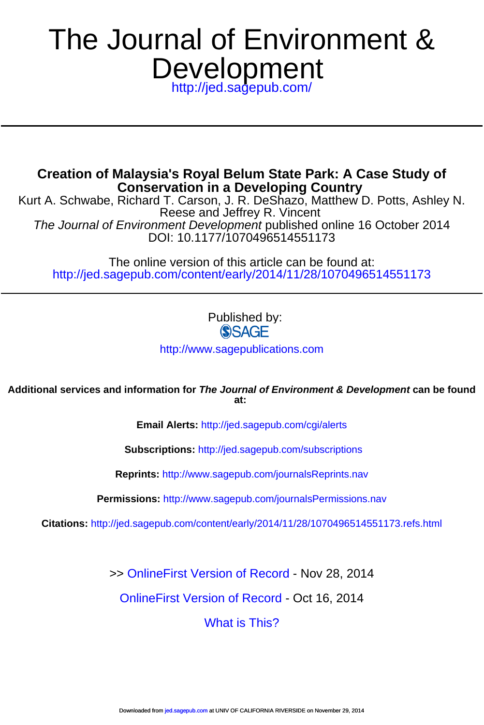# Development The Journal of Environment &

<http://jed.sagepub.com/>

**Conservation in a Developing Country Creation of Malaysia's Royal Belum State Park: A Case Study of**

DOI: 10.1177/1070496514551173 The Journal of Environment Development published online 16 October 2014 Reese and Jeffrey R. Vincent Kurt A. Schwabe, Richard T. Carson, J. R. DeShazo, Matthew D. Potts, Ashley N.

<http://jed.sagepub.com/content/early/2014/11/28/1070496514551173> The online version of this article can be found at:

Published by:<br>
SAGE

<http://www.sagepublications.com>

**at: Additional services and information for The Journal of Environment & Development can be found**

**Email Alerts:** <http://jed.sagepub.com/cgi/alerts>

**Subscriptions:** <http://jed.sagepub.com/subscriptions>

**Reprints:** <http://www.sagepub.com/journalsReprints.nav>

**Permissions:** <http://www.sagepub.com/journalsPermissions.nav>

**Citations:** <http://jed.sagepub.com/content/early/2014/11/28/1070496514551173.refs.html>

>> [OnlineFirst Version of Record -](http://jed.sagepub.com/content/early/2014/11/28/1070496514551173.full.pdf) Nov 28, 2014

[OnlineFirst Version of Record -](http://jed.sagepub.com/content/early/2014/10/14/1070496514551173.full.pdf) Oct 16, 2014

[What is This?](http://online.sagepub.com/site/sphelp/vorhelp.xhtml)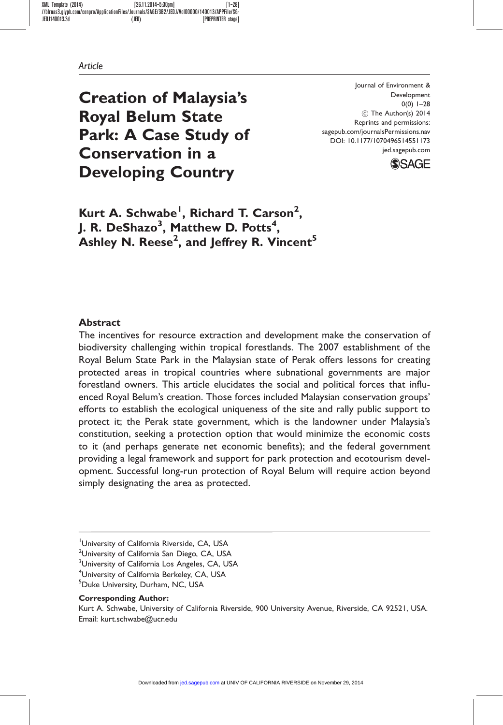Creation of Malaysia's Royal Belum State Park: A Case Study of Conservation in a Developing Country

Journal of Environment & Development  $0(0)$  1–28  $©$  The Author(s) 2014 Reprints and permissions: sagepub.com/journalsPermissions.nav DOI: 10.1177/1070496514551173 jed.sagepub.com



Kurt A. Schwabe<sup>1</sup>, Richard T. Carson<sup>2</sup>, J. R. DeShazo $^3$ , Matthew D. Potts $^4\!$ , Ashley N. Reese<sup>2</sup>, and Jeffrey R. Vincent $^{\mathbf{5}}$ 

#### Abstract

The incentives for resource extraction and development make the conservation of biodiversity challenging within tropical forestlands. The 2007 establishment of the Royal Belum State Park in the Malaysian state of Perak offers lessons for creating protected areas in tropical countries where subnational governments are major forestland owners. This article elucidates the social and political forces that influenced Royal Belum's creation. Those forces included Malaysian conservation groups' efforts to establish the ecological uniqueness of the site and rally public support to protect it; the Perak state government, which is the landowner under Malaysia's constitution, seeking a protection option that would minimize the economic costs to it (and perhaps generate net economic benefits); and the federal government providing a legal framework and support for park protection and ecotourism development. Successful long-run protection of Royal Belum will require action beyond simply designating the area as protected.

<sup>2</sup>University of California San Diego, CA, USA

<sup>3</sup>University of California Los Angeles, CA, USA

4 University of California Berkeley, CA, USA

5 Duke University, Durham, NC, USA

#### Corresponding Author:

Kurt A. Schwabe, University of California Riverside, 900 University Avenue, Riverside, CA 92521, USA. Email: kurt.schwabe@ucr.edu

University of California Riverside, CA, USA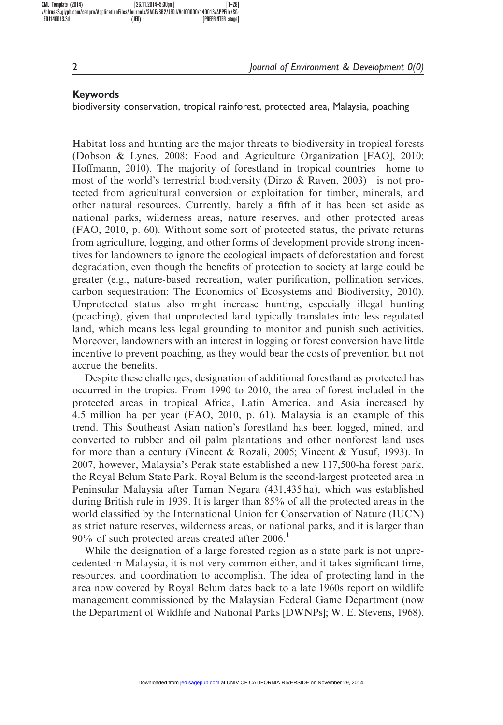#### Keywords

biodiversity conservation, tropical rainforest, protected area, Malaysia, poaching

Habitat loss and hunting are the major threats to biodiversity in tropical forests (Dobson & Lynes, 2008; Food and Agriculture Organization [FAO], 2010; Hoffmann, 2010). The majority of forestland in tropical countries—home to most of the world's terrestrial biodiversity (Dirzo  $\&$  Raven, 2003)—is not protected from agricultural conversion or exploitation for timber, minerals, and other natural resources. Currently, barely a fifth of it has been set aside as national parks, wilderness areas, nature reserves, and other protected areas (FAO, 2010, p. 60). Without some sort of protected status, the private returns from agriculture, logging, and other forms of development provide strong incentives for landowners to ignore the ecological impacts of deforestation and forest degradation, even though the benefits of protection to society at large could be greater (e.g., nature-based recreation, water purification, pollination services, carbon sequestration; The Economics of Ecosystems and Biodiversity, 2010). Unprotected status also might increase hunting, especially illegal hunting (poaching), given that unprotected land typically translates into less regulated land, which means less legal grounding to monitor and punish such activities. Moreover, landowners with an interest in logging or forest conversion have little incentive to prevent poaching, as they would bear the costs of prevention but not accrue the benefits.

Despite these challenges, designation of additional forestland as protected has occurred in the tropics. From 1990 to 2010, the area of forest included in the protected areas in tropical Africa, Latin America, and Asia increased by 4.5 million ha per year (FAO, 2010, p. 61). Malaysia is an example of this trend. This Southeast Asian nation's forestland has been logged, mined, and converted to rubber and oil palm plantations and other nonforest land uses for more than a century (Vincent & Rozali, 2005; Vincent & Yusuf, 1993). In 2007, however, Malaysia's Perak state established a new 117,500-ha forest park, the Royal Belum State Park. Royal Belum is the second-largest protected area in Peninsular Malaysia after Taman Negara (431,435 ha), which was established during British rule in 1939. It is larger than 85% of all the protected areas in the world classified by the International Union for Conservation of Nature (IUCN) as strict nature reserves, wilderness areas, or national parks, and it is larger than  $90\%$  of such protected areas created after 2006.<sup>1</sup>

While the designation of a large forested region as a state park is not unprecedented in Malaysia, it is not very common either, and it takes significant time, resources, and coordination to accomplish. The idea of protecting land in the area now covered by Royal Belum dates back to a late 1960s report on wildlife management commissioned by the Malaysian Federal Game Department (now the Department of Wildlife and National Parks [DWNPs]; W. E. Stevens, 1968),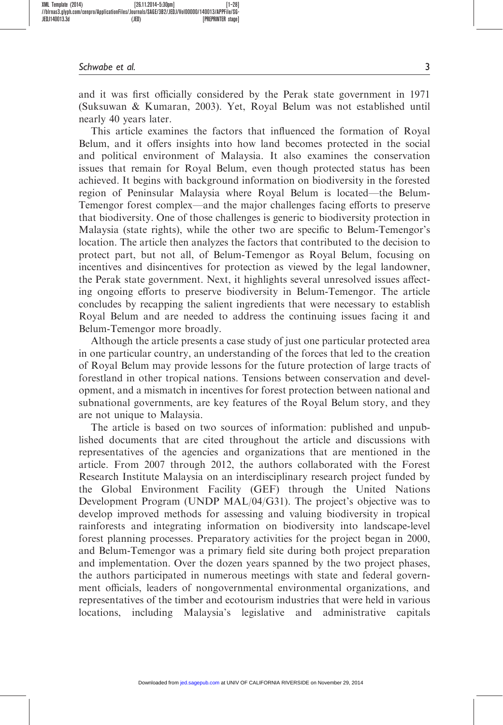and it was first officially considered by the Perak state government in 1971 (Suksuwan & Kumaran, 2003). Yet, Royal Belum was not established until nearly 40 years later.

This article examines the factors that influenced the formation of Royal Belum, and it offers insights into how land becomes protected in the social and political environment of Malaysia. It also examines the conservation issues that remain for Royal Belum, even though protected status has been achieved. It begins with background information on biodiversity in the forested region of Peninsular Malaysia where Royal Belum is located—the Belum-Temengor forest complex—and the major challenges facing efforts to preserve that biodiversity. One of those challenges is generic to biodiversity protection in Malaysia (state rights), while the other two are specific to Belum-Temengor's location. The article then analyzes the factors that contributed to the decision to protect part, but not all, of Belum-Temengor as Royal Belum, focusing on incentives and disincentives for protection as viewed by the legal landowner, the Perak state government. Next, it highlights several unresolved issues affecting ongoing efforts to preserve biodiversity in Belum-Temengor. The article concludes by recapping the salient ingredients that were necessary to establish Royal Belum and are needed to address the continuing issues facing it and Belum-Temengor more broadly.

Although the article presents a case study of just one particular protected area in one particular country, an understanding of the forces that led to the creation of Royal Belum may provide lessons for the future protection of large tracts of forestland in other tropical nations. Tensions between conservation and development, and a mismatch in incentives for forest protection between national and subnational governments, are key features of the Royal Belum story, and they are not unique to Malaysia.

The article is based on two sources of information: published and unpublished documents that are cited throughout the article and discussions with representatives of the agencies and organizations that are mentioned in the article. From 2007 through 2012, the authors collaborated with the Forest Research Institute Malaysia on an interdisciplinary research project funded by the Global Environment Facility (GEF) through the United Nations Development Program (UNDP MAL/04/G31). The project's objective was to develop improved methods for assessing and valuing biodiversity in tropical rainforests and integrating information on biodiversity into landscape-level forest planning processes. Preparatory activities for the project began in 2000, and Belum-Temengor was a primary field site during both project preparation and implementation. Over the dozen years spanned by the two project phases, the authors participated in numerous meetings with state and federal government officials, leaders of nongovernmental environmental organizations, and representatives of the timber and ecotourism industries that were held in various locations, including Malaysia's legislative and administrative capitals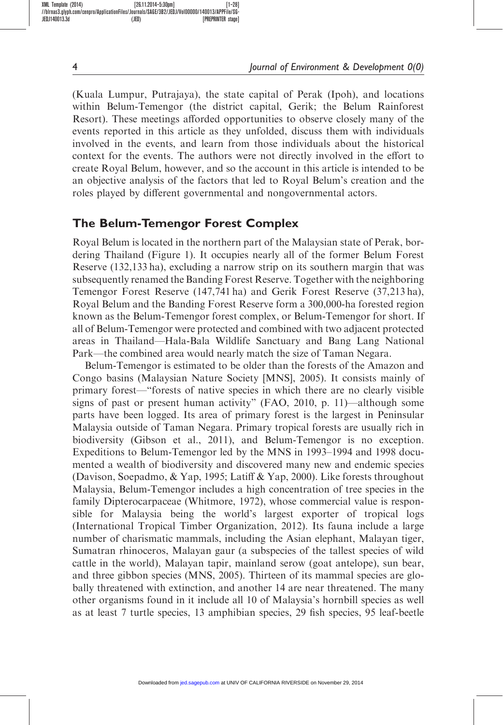(Kuala Lumpur, Putrajaya), the state capital of Perak (Ipoh), and locations within Belum-Temengor (the district capital, Gerik; the Belum Rainforest Resort). These meetings afforded opportunities to observe closely many of the events reported in this article as they unfolded, discuss them with individuals involved in the events, and learn from those individuals about the historical context for the events. The authors were not directly involved in the effort to create Royal Belum, however, and so the account in this article is intended to be an objective analysis of the factors that led to Royal Belum's creation and the roles played by different governmental and nongovernmental actors.

# The Belum-Temengor Forest Complex

Royal Belum is located in the northern part of the Malaysian state of Perak, bordering Thailand (Figure 1). It occupies nearly all of the former Belum Forest Reserve (132,133 ha), excluding a narrow strip on its southern margin that was subsequently renamed the Banding Forest Reserve. Together with the neighboring Temengor Forest Reserve (147,741 ha) and Gerik Forest Reserve (37,213 ha), Royal Belum and the Banding Forest Reserve form a 300,000-ha forested region known as the Belum-Temengor forest complex, or Belum-Temengor for short. If all of Belum-Temengor were protected and combined with two adjacent protected areas in Thailand—Hala-Bala Wildlife Sanctuary and Bang Lang National Park—the combined area would nearly match the size of Taman Negara.

Belum-Temengor is estimated to be older than the forests of the Amazon and Congo basins (Malaysian Nature Society [MNS], 2005). It consists mainly of primary forest—"forests of native species in which there are no clearly visible signs of past or present human activity" (FAO, 2010, p. 11)—although some parts have been logged. Its area of primary forest is the largest in Peninsular Malaysia outside of Taman Negara. Primary tropical forests are usually rich in biodiversity (Gibson et al., 2011), and Belum-Temengor is no exception. Expeditions to Belum-Temengor led by the MNS in 1993–1994 and 1998 documented a wealth of biodiversity and discovered many new and endemic species (Davison, Soepadmo, & Yap, 1995; Latiff & Yap, 2000). Like forests throughout Malaysia, Belum-Temengor includes a high concentration of tree species in the family Dipterocarpaceae (Whitmore, 1972), whose commercial value is responsible for Malaysia being the world's largest exporter of tropical logs (International Tropical Timber Organization, 2012). Its fauna include a large number of charismatic mammals, including the Asian elephant, Malayan tiger, Sumatran rhinoceros, Malayan gaur (a subspecies of the tallest species of wild cattle in the world), Malayan tapir, mainland serow (goat antelope), sun bear, and three gibbon species (MNS, 2005). Thirteen of its mammal species are globally threatened with extinction, and another 14 are near threatened. The many other organisms found in it include all 10 of Malaysia's hornbill species as well as at least 7 turtle species, 13 amphibian species, 29 fish species, 95 leaf-beetle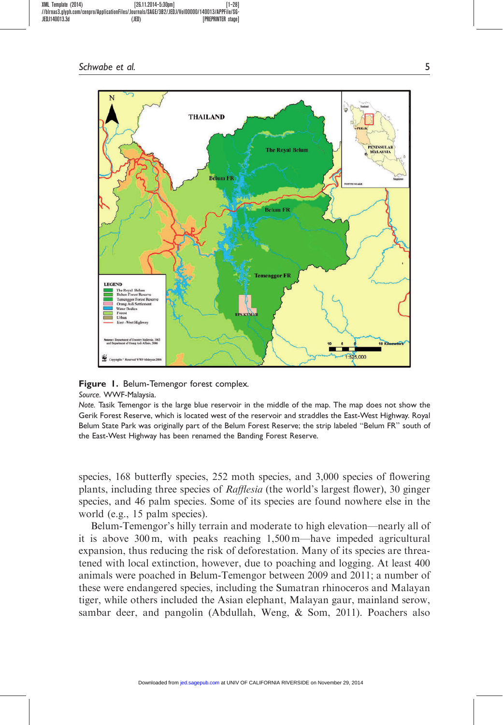

Figure 1. Belum-Temengor forest complex.

Source. WWF-Malaysia.

Note. Tasik Temengor is the large blue reservoir in the middle of the map. The map does not show the Gerik Forest Reserve, which is located west of the reservoir and straddles the East-West Highway. Royal Belum State Park was originally part of the Belum Forest Reserve; the strip labeled "Belum FR" south of the East-West Highway has been renamed the Banding Forest Reserve.

species, 168 butterfly species, 252 moth species, and 3,000 species of flowering plants, including three species of Rafflesia (the world's largest flower), 30 ginger species, and 46 palm species. Some of its species are found nowhere else in the world (e.g., 15 palm species).

Belum-Temengor's hilly terrain and moderate to high elevation—nearly all of it is above 300 m, with peaks reaching 1,500 m—have impeded agricultural expansion, thus reducing the risk of deforestation. Many of its species are threatened with local extinction, however, due to poaching and logging. At least 400 animals were poached in Belum-Temengor between 2009 and 2011; a number of these were endangered species, including the Sumatran rhinoceros and Malayan tiger, while others included the Asian elephant, Malayan gaur, mainland serow, sambar deer, and pangolin (Abdullah, Weng, & Som, 2011). Poachers also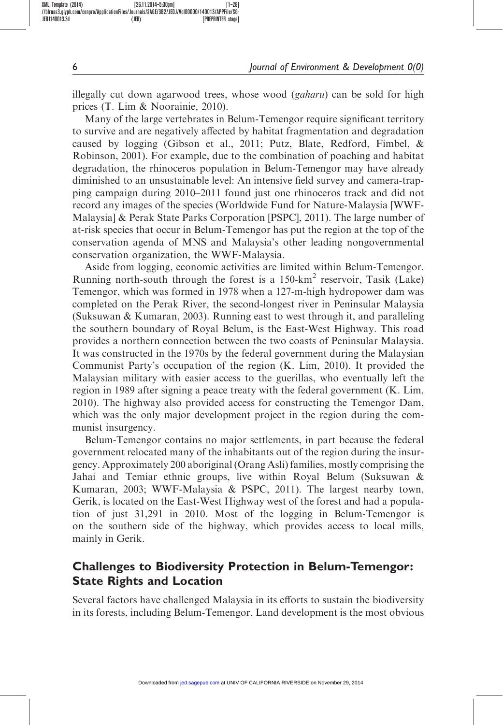illegally cut down agarwood trees, whose wood (*gaharu*) can be sold for high prices (T. Lim & Noorainie, 2010).

Many of the large vertebrates in Belum-Temengor require significant territory to survive and are negatively affected by habitat fragmentation and degradation caused by logging (Gibson et al., 2011; Putz, Blate, Redford, Fimbel, & Robinson, 2001). For example, due to the combination of poaching and habitat degradation, the rhinoceros population in Belum-Temengor may have already diminished to an unsustainable level: An intensive field survey and camera-trapping campaign during 2010–2011 found just one rhinoceros track and did not record any images of the species (Worldwide Fund for Nature-Malaysia [WWF-Malaysia] & Perak State Parks Corporation [PSPC], 2011). The large number of at-risk species that occur in Belum-Temengor has put the region at the top of the conservation agenda of MNS and Malaysia's other leading nongovernmental conservation organization, the WWF-Malaysia.

Aside from logging, economic activities are limited within Belum-Temengor. Running north-south through the forest is a  $150 \text{-} \text{km}^2$  reservoir, Tasik (Lake) Temengor, which was formed in 1978 when a 127-m-high hydropower dam was completed on the Perak River, the second-longest river in Peninsular Malaysia (Suksuwan & Kumaran, 2003). Running east to west through it, and paralleling the southern boundary of Royal Belum, is the East-West Highway. This road provides a northern connection between the two coasts of Peninsular Malaysia. It was constructed in the 1970s by the federal government during the Malaysian Communist Party's occupation of the region (K. Lim, 2010). It provided the Malaysian military with easier access to the guerillas, who eventually left the region in 1989 after signing a peace treaty with the federal government (K. Lim, 2010). The highway also provided access for constructing the Temengor Dam, which was the only major development project in the region during the communist insurgency.

Belum-Temengor contains no major settlements, in part because the federal government relocated many of the inhabitants out of the region during the insurgency. Approximately 200 aboriginal (Orang Asli) families, mostly comprising the Jahai and Temiar ethnic groups, live within Royal Belum (Suksuwan  $\&$ Kumaran, 2003; WWF-Malaysia & PSPC, 2011). The largest nearby town, Gerik, is located on the East-West Highway west of the forest and had a population of just 31,291 in 2010. Most of the logging in Belum-Temengor is on the southern side of the highway, which provides access to local mills, mainly in Gerik.

# Challenges to Biodiversity Protection in Belum-Temengor: State Rights and Location

Several factors have challenged Malaysia in its efforts to sustain the biodiversity in its forests, including Belum-Temengor. Land development is the most obvious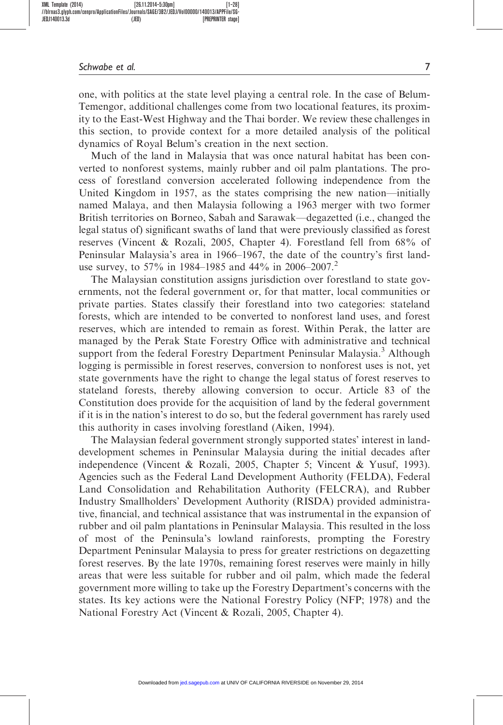one, with politics at the state level playing a central role. In the case of Belum-Temengor, additional challenges come from two locational features, its proximity to the East-West Highway and the Thai border. We review these challenges in this section, to provide context for a more detailed analysis of the political dynamics of Royal Belum's creation in the next section.

Much of the land in Malaysia that was once natural habitat has been converted to nonforest systems, mainly rubber and oil palm plantations. The process of forestland conversion accelerated following independence from the United Kingdom in 1957, as the states comprising the new nation—initially named Malaya, and then Malaysia following a 1963 merger with two former British territories on Borneo, Sabah and Sarawak—degazetted (i.e., changed the legal status of) significant swaths of land that were previously classified as forest reserves (Vincent & Rozali, 2005, Chapter 4). Forestland fell from 68% of Peninsular Malaysia's area in 1966–1967, the date of the country's first landuse survey, to 57% in 1984–1985 and 44% in 2006–2007.<sup>2</sup>

The Malaysian constitution assigns jurisdiction over forestland to state governments, not the federal government or, for that matter, local communities or private parties. States classify their forestland into two categories: stateland forests, which are intended to be converted to nonforest land uses, and forest reserves, which are intended to remain as forest. Within Perak, the latter are managed by the Perak State Forestry Office with administrative and technical support from the federal Forestry Department Peninsular Malaysia.<sup>3</sup> Although logging is permissible in forest reserves, conversion to nonforest uses is not, yet state governments have the right to change the legal status of forest reserves to stateland forests, thereby allowing conversion to occur. Article 83 of the Constitution does provide for the acquisition of land by the federal government if it is in the nation's interest to do so, but the federal government has rarely used this authority in cases involving forestland (Aiken, 1994).

The Malaysian federal government strongly supported states' interest in landdevelopment schemes in Peninsular Malaysia during the initial decades after independence (Vincent & Rozali, 2005, Chapter 5; Vincent & Yusuf, 1993). Agencies such as the Federal Land Development Authority (FELDA), Federal Land Consolidation and Rehabilitation Authority (FELCRA), and Rubber Industry Smallholders' Development Authority (RISDA) provided administrative, financial, and technical assistance that was instrumental in the expansion of rubber and oil palm plantations in Peninsular Malaysia. This resulted in the loss of most of the Peninsula's lowland rainforests, prompting the Forestry Department Peninsular Malaysia to press for greater restrictions on degazetting forest reserves. By the late 1970s, remaining forest reserves were mainly in hilly areas that were less suitable for rubber and oil palm, which made the federal government more willing to take up the Forestry Department's concerns with the states. Its key actions were the National Forestry Policy (NFP; 1978) and the National Forestry Act (Vincent & Rozali, 2005, Chapter 4).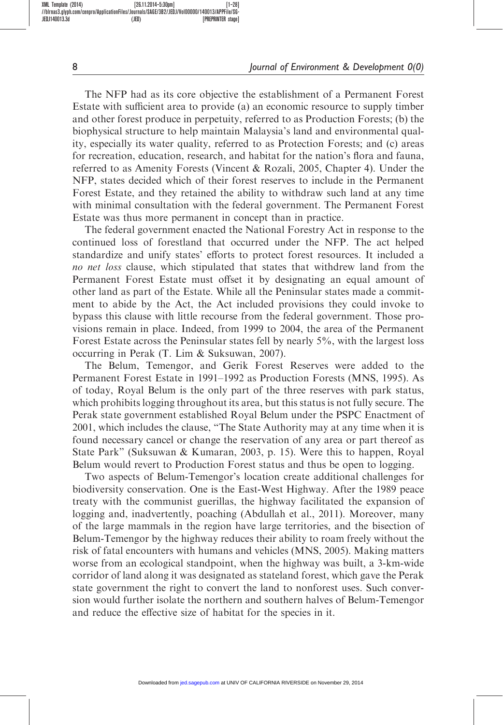The NFP had as its core objective the establishment of a Permanent Forest Estate with sufficient area to provide (a) an economic resource to supply timber and other forest produce in perpetuity, referred to as Production Forests; (b) the biophysical structure to help maintain Malaysia's land and environmental quality, especially its water quality, referred to as Protection Forests; and (c) areas for recreation, education, research, and habitat for the nation's flora and fauna, referred to as Amenity Forests (Vincent & Rozali, 2005, Chapter 4). Under the NFP, states decided which of their forest reserves to include in the Permanent Forest Estate, and they retained the ability to withdraw such land at any time with minimal consultation with the federal government. The Permanent Forest Estate was thus more permanent in concept than in practice.

The federal government enacted the National Forestry Act in response to the continued loss of forestland that occurred under the NFP. The act helped standardize and unify states' efforts to protect forest resources. It included a no net loss clause, which stipulated that states that withdrew land from the Permanent Forest Estate must offset it by designating an equal amount of other land as part of the Estate. While all the Peninsular states made a commitment to abide by the Act, the Act included provisions they could invoke to bypass this clause with little recourse from the federal government. Those provisions remain in place. Indeed, from 1999 to 2004, the area of the Permanent Forest Estate across the Peninsular states fell by nearly 5%, with the largest loss occurring in Perak (T. Lim & Suksuwan, 2007).

The Belum, Temengor, and Gerik Forest Reserves were added to the Permanent Forest Estate in 1991–1992 as Production Forests (MNS, 1995). As of today, Royal Belum is the only part of the three reserves with park status, which prohibits logging throughout its area, but this status is not fully secure. The Perak state government established Royal Belum under the PSPC Enactment of 2001, which includes the clause, "The State Authority may at any time when it is found necessary cancel or change the reservation of any area or part thereof as State Park" (Suksuwan & Kumaran, 2003, p. 15). Were this to happen, Royal Belum would revert to Production Forest status and thus be open to logging.

Two aspects of Belum-Temengor's location create additional challenges for biodiversity conservation. One is the East-West Highway. After the 1989 peace treaty with the communist guerillas, the highway facilitated the expansion of logging and, inadvertently, poaching (Abdullah et al., 2011). Moreover, many of the large mammals in the region have large territories, and the bisection of Belum-Temengor by the highway reduces their ability to roam freely without the risk of fatal encounters with humans and vehicles (MNS, 2005). Making matters worse from an ecological standpoint, when the highway was built, a 3-km-wide corridor of land along it was designated as stateland forest, which gave the Perak state government the right to convert the land to nonforest uses. Such conversion would further isolate the northern and southern halves of Belum-Temengor and reduce the effective size of habitat for the species in it.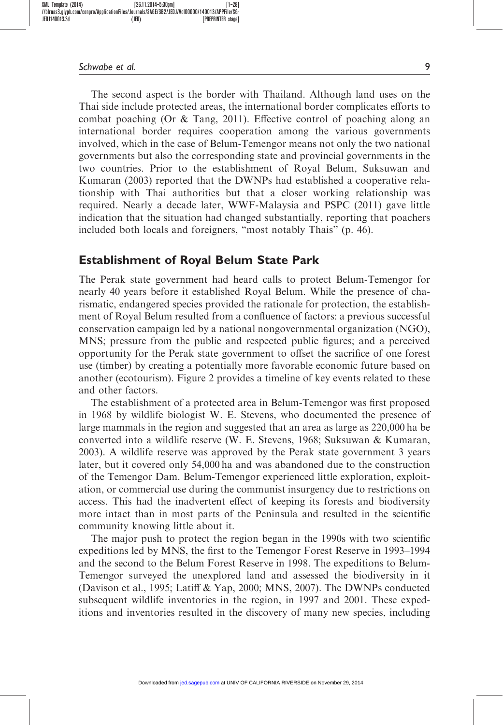The second aspect is the border with Thailand. Although land uses on the Thai side include protected areas, the international border complicates efforts to combat poaching (Or & Tang, 2011). Effective control of poaching along an international border requires cooperation among the various governments involved, which in the case of Belum-Temengor means not only the two national governments but also the corresponding state and provincial governments in the two countries. Prior to the establishment of Royal Belum, Suksuwan and Kumaran (2003) reported that the DWNPs had established a cooperative relationship with Thai authorities but that a closer working relationship was required. Nearly a decade later, WWF-Malaysia and PSPC (2011) gave little indication that the situation had changed substantially, reporting that poachers included both locals and foreigners, "most notably Thais" (p. 46).

### Establishment of Royal Belum State Park

The Perak state government had heard calls to protect Belum-Temengor for nearly 40 years before it established Royal Belum. While the presence of charismatic, endangered species provided the rationale for protection, the establishment of Royal Belum resulted from a confluence of factors: a previous successful conservation campaign led by a national nongovernmental organization (NGO), MNS; pressure from the public and respected public figures; and a perceived opportunity for the Perak state government to offset the sacrifice of one forest use (timber) by creating a potentially more favorable economic future based on another (ecotourism). Figure 2 provides a timeline of key events related to these and other factors.

The establishment of a protected area in Belum-Temengor was first proposed in 1968 by wildlife biologist W. E. Stevens, who documented the presence of large mammals in the region and suggested that an area as large as 220,000 ha be converted into a wildlife reserve (W. E. Stevens, 1968; Suksuwan & Kumaran, 2003). A wildlife reserve was approved by the Perak state government 3 years later, but it covered only 54,000 ha and was abandoned due to the construction of the Temengor Dam. Belum-Temengor experienced little exploration, exploitation, or commercial use during the communist insurgency due to restrictions on access. This had the inadvertent effect of keeping its forests and biodiversity more intact than in most parts of the Peninsula and resulted in the scientific community knowing little about it.

The major push to protect the region began in the 1990s with two scientific expeditions led by MNS, the first to the Temengor Forest Reserve in 1993–1994 and the second to the Belum Forest Reserve in 1998. The expeditions to Belum-Temengor surveyed the unexplored land and assessed the biodiversity in it (Davison et al., 1995; Latiff & Yap, 2000; MNS, 2007). The DWNPs conducted subsequent wildlife inventories in the region, in 1997 and 2001. These expeditions and inventories resulted in the discovery of many new species, including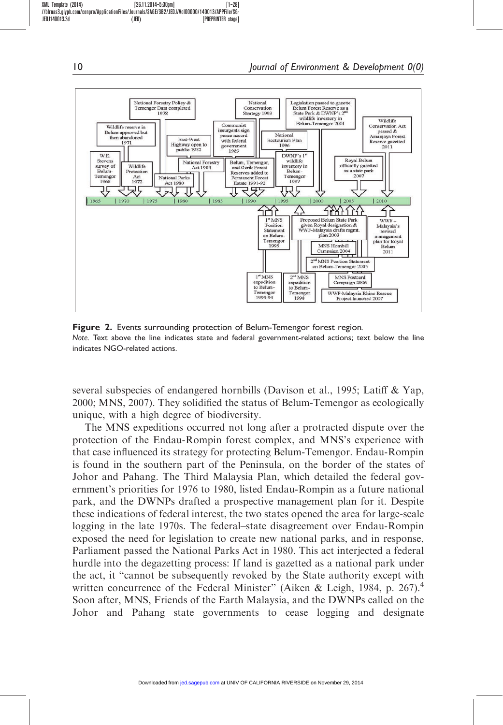

Figure 2. Events surrounding protection of Belum-Temengor forest region. Note. Text above the line indicates state and federal government-related actions; text below the line indicates NGO-related actions.

several subspecies of endangered hornbills (Davison et al., 1995; Latiff & Yap, 2000; MNS, 2007). They solidified the status of Belum-Temengor as ecologically unique, with a high degree of biodiversity.

The MNS expeditions occurred not long after a protracted dispute over the protection of the Endau-Rompin forest complex, and MNS's experience with that case influenced its strategy for protecting Belum-Temengor. Endau-Rompin is found in the southern part of the Peninsula, on the border of the states of Johor and Pahang. The Third Malaysia Plan, which detailed the federal government's priorities for 1976 to 1980, listed Endau-Rompin as a future national park, and the DWNPs drafted a prospective management plan for it. Despite these indications of federal interest, the two states opened the area for large-scale logging in the late 1970s. The federal–state disagreement over Endau-Rompin exposed the need for legislation to create new national parks, and in response, Parliament passed the National Parks Act in 1980. This act interjected a federal hurdle into the degazetting process: If land is gazetted as a national park under the act, it "cannot be subsequently revoked by the State authority except with written concurrence of the Federal Minister" (Aiken & Leigh, 1984, p. 267).<sup>4</sup> Soon after, MNS, Friends of the Earth Malaysia, and the DWNPs called on the Johor and Pahang state governments to cease logging and designate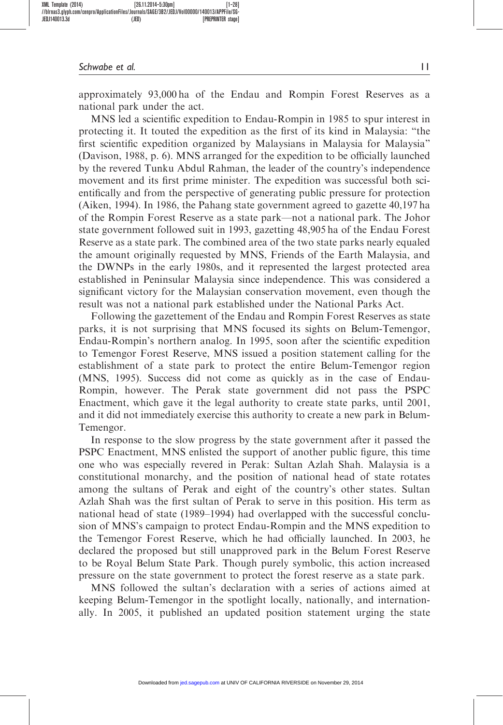approximately 93,000 ha of the Endau and Rompin Forest Reserves as a national park under the act.

MNS led a scientific expedition to Endau-Rompin in 1985 to spur interest in protecting it. It touted the expedition as the first of its kind in Malaysia: "the first scientific expedition organized by Malaysians in Malaysia for Malaysia" (Davison, 1988, p. 6). MNS arranged for the expedition to be officially launched by the revered Tunku Abdul Rahman, the leader of the country's independence movement and its first prime minister. The expedition was successful both scientifically and from the perspective of generating public pressure for protection (Aiken, 1994). In 1986, the Pahang state government agreed to gazette 40,197 ha of the Rompin Forest Reserve as a state park—not a national park. The Johor state government followed suit in 1993, gazetting 48,905 ha of the Endau Forest Reserve as a state park. The combined area of the two state parks nearly equaled the amount originally requested by MNS, Friends of the Earth Malaysia, and the DWNPs in the early 1980s, and it represented the largest protected area established in Peninsular Malaysia since independence. This was considered a significant victory for the Malaysian conservation movement, even though the result was not a national park established under the National Parks Act.

Following the gazettement of the Endau and Rompin Forest Reserves as state parks, it is not surprising that MNS focused its sights on Belum-Temengor, Endau-Rompin's northern analog. In 1995, soon after the scientific expedition to Temengor Forest Reserve, MNS issued a position statement calling for the establishment of a state park to protect the entire Belum-Temengor region (MNS, 1995). Success did not come as quickly as in the case of Endau-Rompin, however. The Perak state government did not pass the PSPC Enactment, which gave it the legal authority to create state parks, until 2001, and it did not immediately exercise this authority to create a new park in Belum-Temengor.

In response to the slow progress by the state government after it passed the PSPC Enactment, MNS enlisted the support of another public figure, this time one who was especially revered in Perak: Sultan Azlah Shah. Malaysia is a constitutional monarchy, and the position of national head of state rotates among the sultans of Perak and eight of the country's other states. Sultan Azlah Shah was the first sultan of Perak to serve in this position. His term as national head of state (1989–1994) had overlapped with the successful conclusion of MNS's campaign to protect Endau-Rompin and the MNS expedition to the Temengor Forest Reserve, which he had officially launched. In 2003, he declared the proposed but still unapproved park in the Belum Forest Reserve to be Royal Belum State Park. Though purely symbolic, this action increased pressure on the state government to protect the forest reserve as a state park.

MNS followed the sultan's declaration with a series of actions aimed at keeping Belum-Temengor in the spotlight locally, nationally, and internationally. In 2005, it published an updated position statement urging the state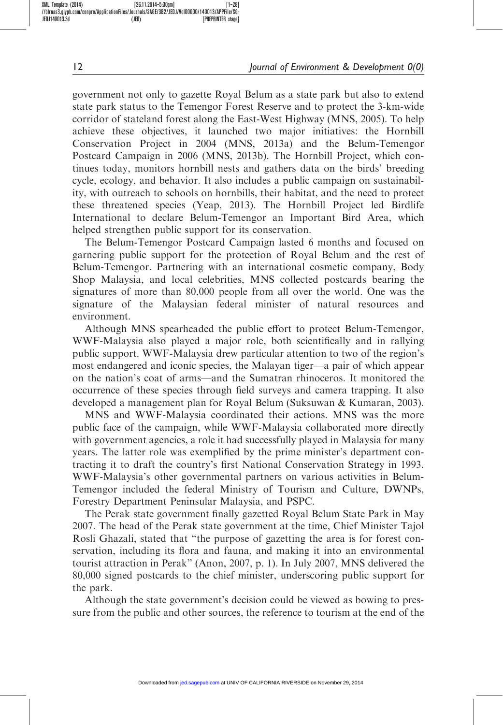government not only to gazette Royal Belum as a state park but also to extend state park status to the Temengor Forest Reserve and to protect the 3-km-wide corridor of stateland forest along the East-West Highway (MNS, 2005). To help achieve these objectives, it launched two major initiatives: the Hornbill Conservation Project in 2004 (MNS, 2013a) and the Belum-Temengor Postcard Campaign in 2006 (MNS, 2013b). The Hornbill Project, which continues today, monitors hornbill nests and gathers data on the birds' breeding cycle, ecology, and behavior. It also includes a public campaign on sustainability, with outreach to schools on hornbills, their habitat, and the need to protect these threatened species (Yeap, 2013). The Hornbill Project led Birdlife International to declare Belum-Temengor an Important Bird Area, which helped strengthen public support for its conservation.

The Belum-Temengor Postcard Campaign lasted 6 months and focused on garnering public support for the protection of Royal Belum and the rest of Belum-Temengor. Partnering with an international cosmetic company, Body Shop Malaysia, and local celebrities, MNS collected postcards bearing the signatures of more than 80,000 people from all over the world. One was the signature of the Malaysian federal minister of natural resources and environment.

Although MNS spearheaded the public effort to protect Belum-Temengor, WWF-Malaysia also played a major role, both scientifically and in rallying public support. WWF-Malaysia drew particular attention to two of the region's most endangered and iconic species, the Malayan tiger—a pair of which appear on the nation's coat of arms—and the Sumatran rhinoceros. It monitored the occurrence of these species through field surveys and camera trapping. It also developed a management plan for Royal Belum (Suksuwan & Kumaran, 2003).

MNS and WWF-Malaysia coordinated their actions. MNS was the more public face of the campaign, while WWF-Malaysia collaborated more directly with government agencies, a role it had successfully played in Malaysia for many years. The latter role was exemplified by the prime minister's department contracting it to draft the country's first National Conservation Strategy in 1993. WWF-Malaysia's other governmental partners on various activities in Belum-Temengor included the federal Ministry of Tourism and Culture, DWNPs, Forestry Department Peninsular Malaysia, and PSPC.

The Perak state government finally gazetted Royal Belum State Park in May 2007. The head of the Perak state government at the time, Chief Minister Tajol Rosli Ghazali, stated that "the purpose of gazetting the area is for forest conservation, including its flora and fauna, and making it into an environmental tourist attraction in Perak" (Anon, 2007, p. 1). In July 2007, MNS delivered the 80,000 signed postcards to the chief minister, underscoring public support for the park.

Although the state government's decision could be viewed as bowing to pressure from the public and other sources, the reference to tourism at the end of the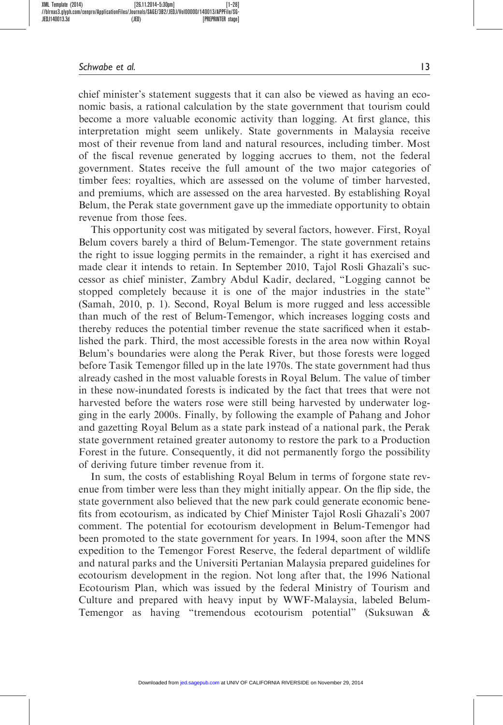chief minister's statement suggests that it can also be viewed as having an economic basis, a rational calculation by the state government that tourism could become a more valuable economic activity than logging. At first glance, this interpretation might seem unlikely. State governments in Malaysia receive most of their revenue from land and natural resources, including timber. Most of the fiscal revenue generated by logging accrues to them, not the federal government. States receive the full amount of the two major categories of timber fees: royalties, which are assessed on the volume of timber harvested, and premiums, which are assessed on the area harvested. By establishing Royal Belum, the Perak state government gave up the immediate opportunity to obtain revenue from those fees.

This opportunity cost was mitigated by several factors, however. First, Royal Belum covers barely a third of Belum-Temengor. The state government retains the right to issue logging permits in the remainder, a right it has exercised and made clear it intends to retain. In September 2010, Tajol Rosli Ghazali's successor as chief minister, Zambry Abdul Kadir, declared, "Logging cannot be stopped completely because it is one of the major industries in the state" (Samah, 2010, p. 1). Second, Royal Belum is more rugged and less accessible than much of the rest of Belum-Temengor, which increases logging costs and thereby reduces the potential timber revenue the state sacrificed when it established the park. Third, the most accessible forests in the area now within Royal Belum's boundaries were along the Perak River, but those forests were logged before Tasik Temengor filled up in the late 1970s. The state government had thus already cashed in the most valuable forests in Royal Belum. The value of timber in these now-inundated forests is indicated by the fact that trees that were not harvested before the waters rose were still being harvested by underwater logging in the early 2000s. Finally, by following the example of Pahang and Johor and gazetting Royal Belum as a state park instead of a national park, the Perak state government retained greater autonomy to restore the park to a Production Forest in the future. Consequently, it did not permanently forgo the possibility of deriving future timber revenue from it.

In sum, the costs of establishing Royal Belum in terms of forgone state revenue from timber were less than they might initially appear. On the flip side, the state government also believed that the new park could generate economic benefits from ecotourism, as indicated by Chief Minister Tajol Rosli Ghazali's 2007 comment. The potential for ecotourism development in Belum-Temengor had been promoted to the state government for years. In 1994, soon after the MNS expedition to the Temengor Forest Reserve, the federal department of wildlife and natural parks and the Universiti Pertanian Malaysia prepared guidelines for ecotourism development in the region. Not long after that, the 1996 National Ecotourism Plan, which was issued by the federal Ministry of Tourism and Culture and prepared with heavy input by WWF-Malaysia, labeled Belum-Temengor as having "tremendous ecotourism potential" (Suksuwan &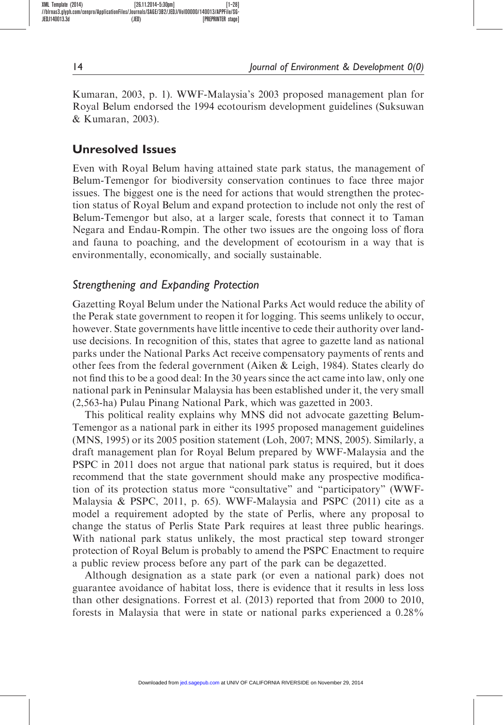Kumaran, 2003, p. 1). WWF-Malaysia's 2003 proposed management plan for Royal Belum endorsed the 1994 ecotourism development guidelines (Suksuwan & Kumaran, 2003).

# Unresolved Issues

Even with Royal Belum having attained state park status, the management of Belum-Temengor for biodiversity conservation continues to face three major issues. The biggest one is the need for actions that would strengthen the protection status of Royal Belum and expand protection to include not only the rest of Belum-Temengor but also, at a larger scale, forests that connect it to Taman Negara and Endau-Rompin. The other two issues are the ongoing loss of flora and fauna to poaching, and the development of ecotourism in a way that is environmentally, economically, and socially sustainable.

## Strengthening and Expanding Protection

Gazetting Royal Belum under the National Parks Act would reduce the ability of the Perak state government to reopen it for logging. This seems unlikely to occur, however. State governments have little incentive to cede their authority over landuse decisions. In recognition of this, states that agree to gazette land as national parks under the National Parks Act receive compensatory payments of rents and other fees from the federal government (Aiken & Leigh, 1984). States clearly do not find this to be a good deal: In the 30 years since the act came into law, only one national park in Peninsular Malaysia has been established under it, the very small (2,563-ha) Pulau Pinang National Park, which was gazetted in 2003.

This political reality explains why MNS did not advocate gazetting Belum-Temengor as a national park in either its 1995 proposed management guidelines (MNS, 1995) or its 2005 position statement (Loh, 2007; MNS, 2005). Similarly, a draft management plan for Royal Belum prepared by WWF-Malaysia and the PSPC in 2011 does not argue that national park status is required, but it does recommend that the state government should make any prospective modification of its protection status more "consultative" and "participatory" (WWF-Malaysia & PSPC, 2011, p. 65). WWF-Malaysia and PSPC (2011) cite as a model a requirement adopted by the state of Perlis, where any proposal to change the status of Perlis State Park requires at least three public hearings. With national park status unlikely, the most practical step toward stronger protection of Royal Belum is probably to amend the PSPC Enactment to require a public review process before any part of the park can be degazetted.

Although designation as a state park (or even a national park) does not guarantee avoidance of habitat loss, there is evidence that it results in less loss than other designations. Forrest et al. (2013) reported that from 2000 to 2010, forests in Malaysia that were in state or national parks experienced a 0.28%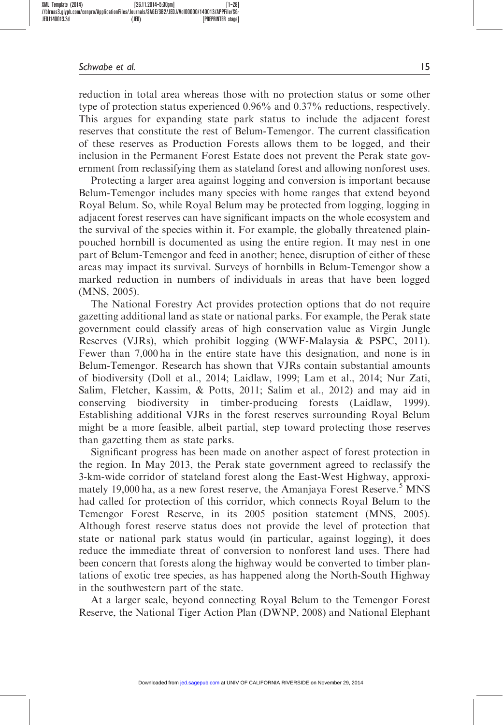reduction in total area whereas those with no protection status or some other type of protection status experienced 0.96% and 0.37% reductions, respectively. This argues for expanding state park status to include the adjacent forest reserves that constitute the rest of Belum-Temengor. The current classification of these reserves as Production Forests allows them to be logged, and their inclusion in the Permanent Forest Estate does not prevent the Perak state government from reclassifying them as stateland forest and allowing nonforest uses.

Protecting a larger area against logging and conversion is important because Belum-Temengor includes many species with home ranges that extend beyond Royal Belum. So, while Royal Belum may be protected from logging, logging in adjacent forest reserves can have significant impacts on the whole ecosystem and the survival of the species within it. For example, the globally threatened plainpouched hornbill is documented as using the entire region. It may nest in one part of Belum-Temengor and feed in another; hence, disruption of either of these areas may impact its survival. Surveys of hornbills in Belum-Temengor show a marked reduction in numbers of individuals in areas that have been logged (MNS, 2005).

The National Forestry Act provides protection options that do not require gazetting additional land as state or national parks. For example, the Perak state government could classify areas of high conservation value as Virgin Jungle Reserves (VJRs), which prohibit logging (WWF-Malaysia & PSPC, 2011). Fewer than 7,000 ha in the entire state have this designation, and none is in Belum-Temengor. Research has shown that VJRs contain substantial amounts of biodiversity (Doll et al., 2014; Laidlaw, 1999; Lam et al., 2014; Nur Zati, Salim, Fletcher, Kassim, & Potts, 2011; Salim et al., 2012) and may aid in conserving biodiversity in timber-producing forests (Laidlaw, 1999). Establishing additional VJRs in the forest reserves surrounding Royal Belum might be a more feasible, albeit partial, step toward protecting those reserves than gazetting them as state parks.

Significant progress has been made on another aspect of forest protection in the region. In May 2013, the Perak state government agreed to reclassify the 3-km-wide corridor of stateland forest along the East-West Highway, approximately 19,000 ha, as a new forest reserve, the Amanjaya Forest Reserve.<sup>5</sup> MNS had called for protection of this corridor, which connects Royal Belum to the Temengor Forest Reserve, in its 2005 position statement (MNS, 2005). Although forest reserve status does not provide the level of protection that state or national park status would (in particular, against logging), it does reduce the immediate threat of conversion to nonforest land uses. There had been concern that forests along the highway would be converted to timber plantations of exotic tree species, as has happened along the North-South Highway in the southwestern part of the state.

At a larger scale, beyond connecting Royal Belum to the Temengor Forest Reserve, the National Tiger Action Plan (DWNP, 2008) and National Elephant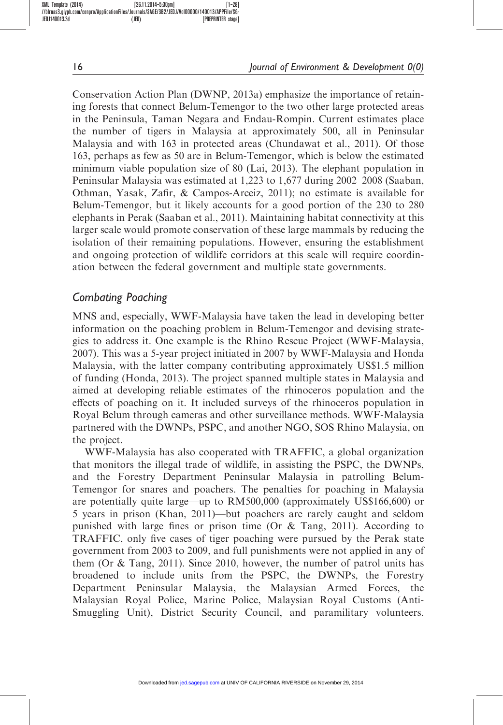Conservation Action Plan (DWNP, 2013a) emphasize the importance of retaining forests that connect Belum-Temengor to the two other large protected areas in the Peninsula, Taman Negara and Endau-Rompin. Current estimates place the number of tigers in Malaysia at approximately 500, all in Peninsular Malaysia and with 163 in protected areas (Chundawat et al., 2011). Of those 163, perhaps as few as 50 are in Belum-Temengor, which is below the estimated minimum viable population size of 80 (Lai, 2013). The elephant population in Peninsular Malaysia was estimated at 1,223 to 1,677 during 2002–2008 (Saaban, Othman, Yasak, Zafir, & Campos-Arceiz, 2011); no estimate is available for Belum-Temengor, but it likely accounts for a good portion of the 230 to 280 elephants in Perak (Saaban et al., 2011). Maintaining habitat connectivity at this larger scale would promote conservation of these large mammals by reducing the isolation of their remaining populations. However, ensuring the establishment and ongoing protection of wildlife corridors at this scale will require coordination between the federal government and multiple state governments.

# Combating Poaching

MNS and, especially, WWF-Malaysia have taken the lead in developing better information on the poaching problem in Belum-Temengor and devising strategies to address it. One example is the Rhino Rescue Project (WWF-Malaysia, 2007). This was a 5-year project initiated in 2007 by WWF-Malaysia and Honda Malaysia, with the latter company contributing approximately US\$1.5 million of funding (Honda, 2013). The project spanned multiple states in Malaysia and aimed at developing reliable estimates of the rhinoceros population and the effects of poaching on it. It included surveys of the rhinoceros population in Royal Belum through cameras and other surveillance methods. WWF-Malaysia partnered with the DWNPs, PSPC, and another NGO, SOS Rhino Malaysia, on the project.

WWF-Malaysia has also cooperated with TRAFFIC, a global organization that monitors the illegal trade of wildlife, in assisting the PSPC, the DWNPs, and the Forestry Department Peninsular Malaysia in patrolling Belum-Temengor for snares and poachers. The penalties for poaching in Malaysia are potentially quite large—up to RM500,000 (approximately US\$166,600) or 5 years in prison (Khan, 2011)—but poachers are rarely caught and seldom punished with large fines or prison time (Or & Tang, 2011). According to TRAFFIC, only five cases of tiger poaching were pursued by the Perak state government from 2003 to 2009, and full punishments were not applied in any of them (Or & Tang, 2011). Since 2010, however, the number of patrol units has broadened to include units from the PSPC, the DWNPs, the Forestry Department Peninsular Malaysia, the Malaysian Armed Forces, the Malaysian Royal Police, Marine Police, Malaysian Royal Customs (Anti-Smuggling Unit), District Security Council, and paramilitary volunteers.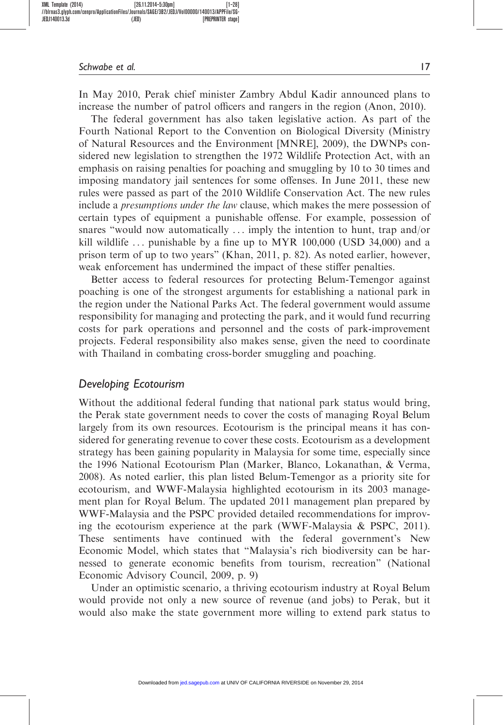In May 2010, Perak chief minister Zambry Abdul Kadir announced plans to increase the number of patrol officers and rangers in the region (Anon, 2010).

The federal government has also taken legislative action. As part of the Fourth National Report to the Convention on Biological Diversity (Ministry of Natural Resources and the Environment [MNRE], 2009), the DWNPs considered new legislation to strengthen the 1972 Wildlife Protection Act, with an emphasis on raising penalties for poaching and smuggling by 10 to 30 times and imposing mandatory jail sentences for some offenses. In June 2011, these new rules were passed as part of the 2010 Wildlife Conservation Act. The new rules include a *presumptions under the law* clause, which makes the mere possession of certain types of equipment a punishable offense. For example, possession of snares "would now automatically ... imply the intention to hunt, trap and/or kill wildlife  $\ldots$  punishable by a fine up to MYR 100,000 (USD 34,000) and a prison term of up to two years" (Khan, 2011, p. 82). As noted earlier, however, weak enforcement has undermined the impact of these stiffer penalties.

Better access to federal resources for protecting Belum-Temengor against poaching is one of the strongest arguments for establishing a national park in the region under the National Parks Act. The federal government would assume responsibility for managing and protecting the park, and it would fund recurring costs for park operations and personnel and the costs of park-improvement projects. Federal responsibility also makes sense, given the need to coordinate with Thailand in combating cross-border smuggling and poaching.

#### Developing Ecotourism

Without the additional federal funding that national park status would bring, the Perak state government needs to cover the costs of managing Royal Belum largely from its own resources. Ecotourism is the principal means it has considered for generating revenue to cover these costs. Ecotourism as a development strategy has been gaining popularity in Malaysia for some time, especially since the 1996 National Ecotourism Plan (Marker, Blanco, Lokanathan, & Verma, 2008). As noted earlier, this plan listed Belum-Temengor as a priority site for ecotourism, and WWF-Malaysia highlighted ecotourism in its 2003 management plan for Royal Belum. The updated 2011 management plan prepared by WWF-Malaysia and the PSPC provided detailed recommendations for improving the ecotourism experience at the park (WWF-Malaysia & PSPC, 2011). These sentiments have continued with the federal government's New Economic Model, which states that "Malaysia's rich biodiversity can be harnessed to generate economic benefits from tourism, recreation" (National Economic Advisory Council, 2009, p. 9)

Under an optimistic scenario, a thriving ecotourism industry at Royal Belum would provide not only a new source of revenue (and jobs) to Perak, but it would also make the state government more willing to extend park status to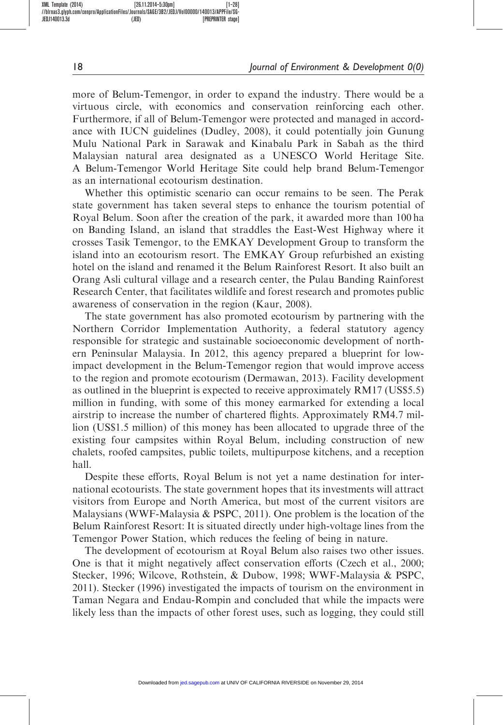more of Belum-Temengor, in order to expand the industry. There would be a virtuous circle, with economics and conservation reinforcing each other. Furthermore, if all of Belum-Temengor were protected and managed in accordance with IUCN guidelines (Dudley, 2008), it could potentially join Gunung Mulu National Park in Sarawak and Kinabalu Park in Sabah as the third Malaysian natural area designated as a UNESCO World Heritage Site. A Belum-Temengor World Heritage Site could help brand Belum-Temengor as an international ecotourism destination.

Whether this optimistic scenario can occur remains to be seen. The Perak state government has taken several steps to enhance the tourism potential of Royal Belum. Soon after the creation of the park, it awarded more than 100 ha on Banding Island, an island that straddles the East-West Highway where it crosses Tasik Temengor, to the EMKAY Development Group to transform the island into an ecotourism resort. The EMKAY Group refurbished an existing hotel on the island and renamed it the Belum Rainforest Resort. It also built an Orang Asli cultural village and a research center, the Pulau Banding Rainforest Research Center, that facilitates wildlife and forest research and promotes public awareness of conservation in the region (Kaur, 2008).

The state government has also promoted ecotourism by partnering with the Northern Corridor Implementation Authority, a federal statutory agency responsible for strategic and sustainable socioeconomic development of northern Peninsular Malaysia. In 2012, this agency prepared a blueprint for lowimpact development in the Belum-Temengor region that would improve access to the region and promote ecotourism (Dermawan, 2013). Facility development as outlined in the blueprint is expected to receive approximately RM17 (US\$5.5) million in funding, with some of this money earmarked for extending a local airstrip to increase the number of chartered flights. Approximately RM4.7 million (US\$1.5 million) of this money has been allocated to upgrade three of the existing four campsites within Royal Belum, including construction of new chalets, roofed campsites, public toilets, multipurpose kitchens, and a reception hall.

Despite these efforts, Royal Belum is not yet a name destination for international ecotourists. The state government hopes that its investments will attract visitors from Europe and North America, but most of the current visitors are Malaysians (WWF-Malaysia & PSPC, 2011). One problem is the location of the Belum Rainforest Resort: It is situated directly under high-voltage lines from the Temengor Power Station, which reduces the feeling of being in nature.

The development of ecotourism at Royal Belum also raises two other issues. One is that it might negatively affect conservation efforts (Czech et al., 2000; Stecker, 1996; Wilcove, Rothstein, & Dubow, 1998; WWF-Malaysia & PSPC, 2011). Stecker (1996) investigated the impacts of tourism on the environment in Taman Negara and Endau-Rompin and concluded that while the impacts were likely less than the impacts of other forest uses, such as logging, they could still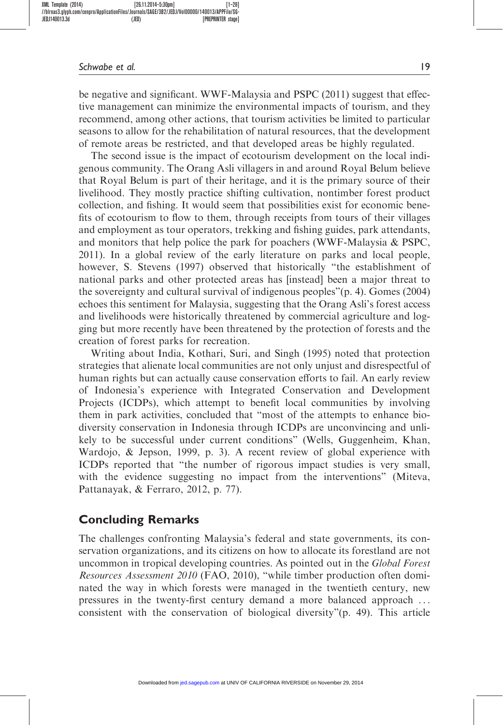be negative and significant. WWF-Malaysia and PSPC (2011) suggest that effective management can minimize the environmental impacts of tourism, and they recommend, among other actions, that tourism activities be limited to particular seasons to allow for the rehabilitation of natural resources, that the development of remote areas be restricted, and that developed areas be highly regulated.

The second issue is the impact of ecotourism development on the local indigenous community. The Orang Asli villagers in and around Royal Belum believe that Royal Belum is part of their heritage, and it is the primary source of their livelihood. They mostly practice shifting cultivation, nontimber forest product collection, and fishing. It would seem that possibilities exist for economic benefits of ecotourism to flow to them, through receipts from tours of their villages and employment as tour operators, trekking and fishing guides, park attendants, and monitors that help police the park for poachers (WWF-Malaysia & PSPC, 2011). In a global review of the early literature on parks and local people, however, S. Stevens (1997) observed that historically "the establishment of national parks and other protected areas has [instead] been a major threat to the sovereignty and cultural survival of indigenous peoples"(p. 4). Gomes (2004) echoes this sentiment for Malaysia, suggesting that the Orang Asli's forest access and livelihoods were historically threatened by commercial agriculture and logging but more recently have been threatened by the protection of forests and the creation of forest parks for recreation.

Writing about India, Kothari, Suri, and Singh (1995) noted that protection strategies that alienate local communities are not only unjust and disrespectful of human rights but can actually cause conservation efforts to fail. An early review of Indonesia's experience with Integrated Conservation and Development Projects (ICDPs), which attempt to benefit local communities by involving them in park activities, concluded that "most of the attempts to enhance biodiversity conservation in Indonesia through ICDPs are unconvincing and unlikely to be successful under current conditions" (Wells, Guggenheim, Khan, Wardojo, & Jepson, 1999, p. 3). A recent review of global experience with ICDPs reported that "the number of rigorous impact studies is very small, with the evidence suggesting no impact from the interventions" (Miteva, Pattanayak, & Ferraro, 2012, p. 77).

# Concluding Remarks

The challenges confronting Malaysia's federal and state governments, its conservation organizations, and its citizens on how to allocate its forestland are not uncommon in tropical developing countries. As pointed out in the *Global Forest* Resources Assessment 2010 (FAO, 2010), "while timber production often dominated the way in which forests were managed in the twentieth century, new pressures in the twenty-first century demand a more balanced approach ... consistent with the conservation of biological diversity"(p. 49). This article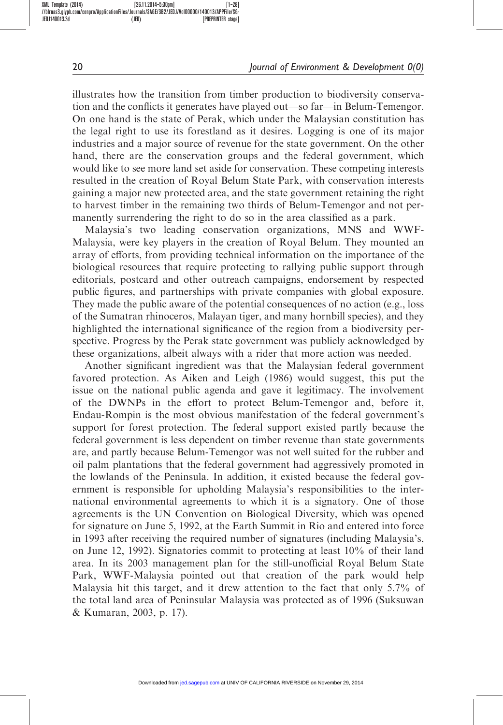illustrates how the transition from timber production to biodiversity conservation and the conflicts it generates have played out—so far—in Belum-Temengor. On one hand is the state of Perak, which under the Malaysian constitution has the legal right to use its forestland as it desires. Logging is one of its major industries and a major source of revenue for the state government. On the other hand, there are the conservation groups and the federal government, which would like to see more land set aside for conservation. These competing interests resulted in the creation of Royal Belum State Park, with conservation interests gaining a major new protected area, and the state government retaining the right to harvest timber in the remaining two thirds of Belum-Temengor and not permanently surrendering the right to do so in the area classified as a park.

Malaysia's two leading conservation organizations, MNS and WWF-Malaysia, were key players in the creation of Royal Belum. They mounted an array of efforts, from providing technical information on the importance of the biological resources that require protecting to rallying public support through editorials, postcard and other outreach campaigns, endorsement by respected public figures, and partnerships with private companies with global exposure. They made the public aware of the potential consequences of no action (e.g., loss of the Sumatran rhinoceros, Malayan tiger, and many hornbill species), and they highlighted the international significance of the region from a biodiversity perspective. Progress by the Perak state government was publicly acknowledged by these organizations, albeit always with a rider that more action was needed.

Another significant ingredient was that the Malaysian federal government favored protection. As Aiken and Leigh (1986) would suggest, this put the issue on the national public agenda and gave it legitimacy. The involvement of the DWNPs in the effort to protect Belum-Temengor and, before it, Endau-Rompin is the most obvious manifestation of the federal government's support for forest protection. The federal support existed partly because the federal government is less dependent on timber revenue than state governments are, and partly because Belum-Temengor was not well suited for the rubber and oil palm plantations that the federal government had aggressively promoted in the lowlands of the Peninsula. In addition, it existed because the federal government is responsible for upholding Malaysia's responsibilities to the international environmental agreements to which it is a signatory. One of those agreements is the UN Convention on Biological Diversity, which was opened for signature on June 5, 1992, at the Earth Summit in Rio and entered into force in 1993 after receiving the required number of signatures (including Malaysia's, on June 12, 1992). Signatories commit to protecting at least 10% of their land area. In its 2003 management plan for the still-unofficial Royal Belum State Park, WWF-Malaysia pointed out that creation of the park would help Malaysia hit this target, and it drew attention to the fact that only 5.7% of the total land area of Peninsular Malaysia was protected as of 1996 (Suksuwan & Kumaran, 2003, p. 17).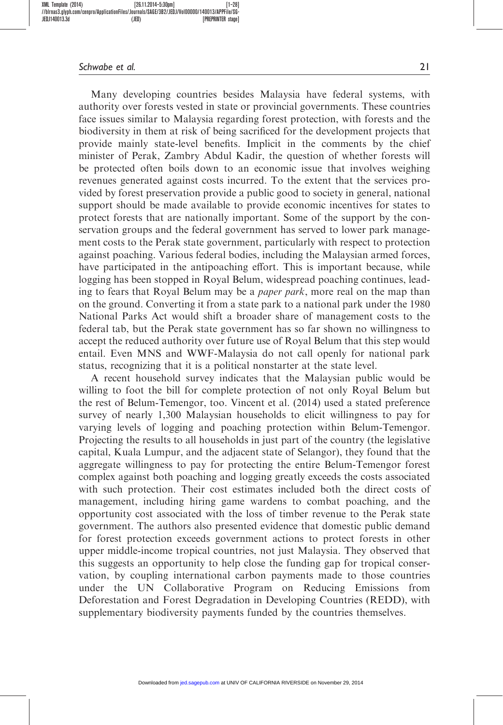Many developing countries besides Malaysia have federal systems, with authority over forests vested in state or provincial governments. These countries face issues similar to Malaysia regarding forest protection, with forests and the biodiversity in them at risk of being sacrificed for the development projects that provide mainly state-level benefits. Implicit in the comments by the chief minister of Perak, Zambry Abdul Kadir, the question of whether forests will be protected often boils down to an economic issue that involves weighing revenues generated against costs incurred. To the extent that the services provided by forest preservation provide a public good to society in general, national support should be made available to provide economic incentives for states to protect forests that are nationally important. Some of the support by the conservation groups and the federal government has served to lower park management costs to the Perak state government, particularly with respect to protection against poaching. Various federal bodies, including the Malaysian armed forces, have participated in the antipoaching effort. This is important because, while logging has been stopped in Royal Belum, widespread poaching continues, leading to fears that Royal Belum may be a *paper park*, more real on the map than on the ground. Converting it from a state park to a national park under the 1980 National Parks Act would shift a broader share of management costs to the federal tab, but the Perak state government has so far shown no willingness to accept the reduced authority over future use of Royal Belum that this step would entail. Even MNS and WWF-Malaysia do not call openly for national park status, recognizing that it is a political nonstarter at the state level.

A recent household survey indicates that the Malaysian public would be willing to foot the bill for complete protection of not only Royal Belum but the rest of Belum-Temengor, too. Vincent et al. (2014) used a stated preference survey of nearly 1,300 Malaysian households to elicit willingness to pay for varying levels of logging and poaching protection within Belum-Temengor. Projecting the results to all households in just part of the country (the legislative capital, Kuala Lumpur, and the adjacent state of Selangor), they found that the aggregate willingness to pay for protecting the entire Belum-Temengor forest complex against both poaching and logging greatly exceeds the costs associated with such protection. Their cost estimates included both the direct costs of management, including hiring game wardens to combat poaching, and the opportunity cost associated with the loss of timber revenue to the Perak state government. The authors also presented evidence that domestic public demand for forest protection exceeds government actions to protect forests in other upper middle-income tropical countries, not just Malaysia. They observed that this suggests an opportunity to help close the funding gap for tropical conservation, by coupling international carbon payments made to those countries under the UN Collaborative Program on Reducing Emissions from Deforestation and Forest Degradation in Developing Countries (REDD), with supplementary biodiversity payments funded by the countries themselves.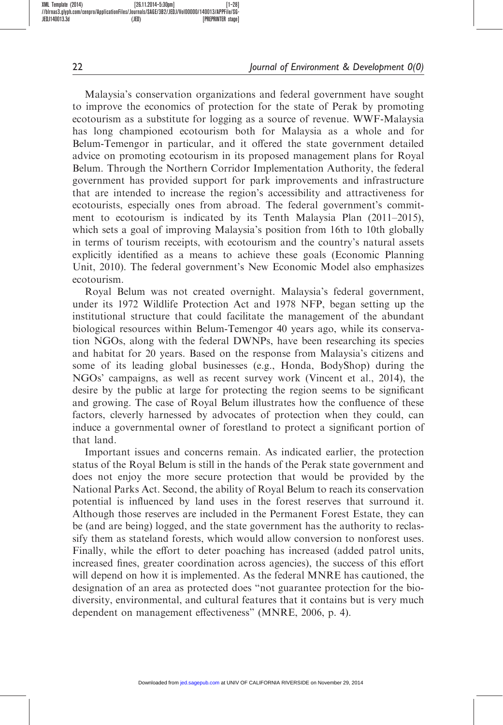Malaysia's conservation organizations and federal government have sought to improve the economics of protection for the state of Perak by promoting ecotourism as a substitute for logging as a source of revenue. WWF-Malaysia has long championed ecotourism both for Malaysia as a whole and for Belum-Temengor in particular, and it offered the state government detailed advice on promoting ecotourism in its proposed management plans for Royal Belum. Through the Northern Corridor Implementation Authority, the federal government has provided support for park improvements and infrastructure that are intended to increase the region's accessibility and attractiveness for ecotourists, especially ones from abroad. The federal government's commitment to ecotourism is indicated by its Tenth Malaysia Plan (2011–2015), which sets a goal of improving Malaysia's position from 16th to 10th globally in terms of tourism receipts, with ecotourism and the country's natural assets explicitly identified as a means to achieve these goals (Economic Planning Unit, 2010). The federal government's New Economic Model also emphasizes ecotourism.

Royal Belum was not created overnight. Malaysia's federal government, under its 1972 Wildlife Protection Act and 1978 NFP, began setting up the institutional structure that could facilitate the management of the abundant biological resources within Belum-Temengor 40 years ago, while its conservation NGOs, along with the federal DWNPs, have been researching its species and habitat for 20 years. Based on the response from Malaysia's citizens and some of its leading global businesses (e.g., Honda, BodyShop) during the NGOs' campaigns, as well as recent survey work (Vincent et al., 2014), the desire by the public at large for protecting the region seems to be significant and growing. The case of Royal Belum illustrates how the confluence of these factors, cleverly harnessed by advocates of protection when they could, can induce a governmental owner of forestland to protect a significant portion of that land.

Important issues and concerns remain. As indicated earlier, the protection status of the Royal Belum is still in the hands of the Perak state government and does not enjoy the more secure protection that would be provided by the National Parks Act. Second, the ability of Royal Belum to reach its conservation potential is influenced by land uses in the forest reserves that surround it. Although those reserves are included in the Permanent Forest Estate, they can be (and are being) logged, and the state government has the authority to reclassify them as stateland forests, which would allow conversion to nonforest uses. Finally, while the effort to deter poaching has increased (added patrol units, increased fines, greater coordination across agencies), the success of this effort will depend on how it is implemented. As the federal MNRE has cautioned, the designation of an area as protected does "not guarantee protection for the biodiversity, environmental, and cultural features that it contains but is very much dependent on management effectiveness" (MNRE, 2006, p. 4).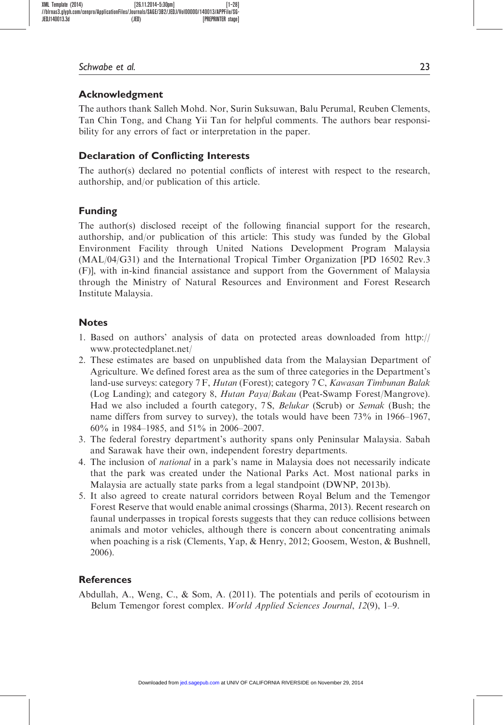## Acknowledgment

The authors thank Salleh Mohd. Nor, Surin Suksuwan, Balu Perumal, Reuben Clements, Tan Chin Tong, and Chang Yii Tan for helpful comments. The authors bear responsibility for any errors of fact or interpretation in the paper.

## Declaration of Conflicting Interests

The author(s) declared no potential conflicts of interest with respect to the research, authorship, and/or publication of this article.

# Funding

The author(s) disclosed receipt of the following financial support for the research, authorship, and/or publication of this article: This study was funded by the Global Environment Facility through United Nations Development Program Malaysia (MAL/04/G31) and the International Tropical Timber Organization [PD 16502 Rev.3 (F)], with in-kind financial assistance and support from the Government of Malaysia through the Ministry of Natural Resources and Environment and Forest Research Institute Malaysia.

## Notes

- 1. Based on authors' analysis of data on protected areas downloaded from [http://](http://www.protectedplanet.net/) [www.protectedplanet.net/](http://www.protectedplanet.net/)
- 2. These estimates are based on unpublished data from the Malaysian Department of Agriculture. We defined forest area as the sum of three categories in the Department's land-use surveys: category 7 F, Hutan (Forest); category 7 C, Kawasan Timbunan Balak (Log Landing); and category 8, Hutan Paya/Bakau (Peat-Swamp Forest/Mangrove). Had we also included a fourth category, 7 S, Belukar (Scrub) or Semak (Bush; the name differs from survey to survey), the totals would have been 73% in 1966–1967, 60% in 1984–1985, and 51% in 2006–2007.
- 3. The federal forestry department's authority spans only Peninsular Malaysia. Sabah and Sarawak have their own, independent forestry departments.
- 4. The inclusion of national in a park's name in Malaysia does not necessarily indicate that the park was created under the National Parks Act. Most national parks in Malaysia are actually state parks from a legal standpoint (DWNP, 2013b).
- 5. It also agreed to create natural corridors between Royal Belum and the Temengor Forest Reserve that would enable animal crossings (Sharma, 2013). Recent research on faunal underpasses in tropical forests suggests that they can reduce collisions between animals and motor vehicles, although there is concern about concentrating animals when poaching is a risk (Clements, Yap, & Henry, 2012; Goosem, Weston, & Bushnell, 2006).

# References

Abdullah, A., Weng, C., & Som, A. (2011). The potentials and perils of ecotourism in Belum Temengor forest complex. World Applied Sciences Journal, 12(9), 1–9.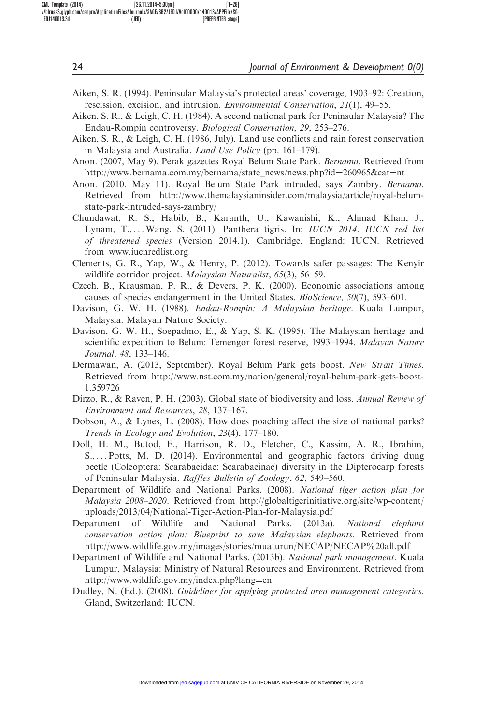- Aiken, S. R. (1994). Peninsular Malaysia's protected areas' coverage, 1903–92: Creation, rescission, excision, and intrusion. Environmental Conservation, 21(1), 49–55.
- Aiken, S. R., & Leigh, C. H. (1984). A second national park for Peninsular Malaysia? The Endau-Rompin controversy. Biological Conservation, 29, 253–276.
- Aiken, S. R., & Leigh, C. H. (1986, July). Land use conflicts and rain forest conservation in Malaysia and Australia. Land Use Policy (pp. 161-179).
- Anon. (2007, May 9). Perak gazettes Royal Belum State Park. Bernama. Retrieved from [http://www.bernama.com.my/bernama/state\\_news/news.php?id](http://www.bernama.com.my/bernama/state_news/news.php?id=260965&cat=nt)=[260965&cat](http://www.bernama.com.my/bernama/state_news/news.php?id=260965&cat=nt)=[nt](http://www.bernama.com.my/bernama/state_news/news.php?id=260965&cat=nt)
- Anon. (2010, May 11). Royal Belum State Park intruded, says Zambry. Bernama. Retrieved from [http://www.themalaysianinsider.com/malaysia/article/royal-belum](http://www.themalaysianinsider.com/malaysia/article/royal-belum-state-park-intruded-says-zambry/)[state-park-intruded-says-zambry/](http://www.themalaysianinsider.com/malaysia/article/royal-belum-state-park-intruded-says-zambry/)
- Chundawat, R. S., Habib, B., Karanth, U., Kawanishi, K., Ahmad Khan, J., Lynam, T., ... Wang, S. (2011). Panthera tigris. In: IUCN 2014. IUCN red list of threatened species (Version 2014.1). Cambridge, England: IUCN. Retrieved from<www.iucnredlist.org>
- Clements, G. R., Yap, W., & Henry, P. (2012). Towards safer passages: The Kenyir wildlife corridor project. *Malaysian Naturalist*, 65(3), 56–59.
- Czech, B., Krausman, P. R., & Devers, P. K. (2000). Economic associations among causes of species endangerment in the United States. BioScience, 50(7), 593–601.
- Davison, G. W. H. (1988). *Endau-Rompin: A Malaysian heritage*. Kuala Lumpur, Malaysia: Malayan Nature Society.
- Davison, G. W. H., Soepadmo, E., & Yap, S. K. (1995). The Malaysian heritage and scientific expedition to Belum: Temengor forest reserve, 1993–1994. Malayan Nature Journal, 48, 133–146.
- Dermawan, A. (2013, September). Royal Belum Park gets boost. New Strait Times. Retrieved from [http://www.nst.com.my/nation/general/royal-belum-park-gets-boost-](http://www.nst.com.my/nation/general/royal-belum-park-gets-boost-1.359726)[1.359726](http://www.nst.com.my/nation/general/royal-belum-park-gets-boost-1.359726)
- Dirzo, R., & Raven, P. H. (2003). Global state of biodiversity and loss. Annual Review of Environment and Resources, 28, 137–167.
- Dobson, A., & Lynes, L. (2008). How does poaching affect the size of national parks? Trends in Ecology and Evolution, 23(4), 177–180.
- Doll, H. M., Butod, E., Harrison, R. D., Fletcher, C., Kassim, A. R., Ibrahim, S., ... Potts, M. D. (2014). Environmental and geographic factors driving dung beetle (Coleoptera: Scarabaeidae: Scarabaeinae) diversity in the Dipterocarp forests of Peninsular Malaysia. Raffles Bulletin of Zoology, 62, 549–560.
- Department of Wildlife and National Parks. (2008). National tiger action plan for Malaysia 2008–2020. Retrieved from [http://globaltigerinitiative.org/site/wp-content/](http://globaltigerinitiative.org/site/wp-content/uploads/2013/04/National-Tiger-Action-Plan-for-Malaysia.pdf) [uploads/2013/04/National-Tiger-Action-Plan-for-Malaysia.pdf](http://globaltigerinitiative.org/site/wp-content/uploads/2013/04/National-Tiger-Action-Plan-for-Malaysia.pdf)
- Department of Wildlife and National Parks. (2013a). National elephant conservation action plan: Blueprint to save Malaysian elephants. Retrieved from <http://www.wildlife.gov.my/images/stories/muaturun/NECAP/NECAP%20all.pdf>
- Department of Wildlife and National Parks. (2013b). National park management. Kuala Lumpur, Malaysia: Ministry of Natural Resources and Environment. Retrieved from [http://www.wildlife.gov.my/index.php?lang](http://www.wildlife.gov.my/index.php?lang=en)=[en](http://www.wildlife.gov.my/index.php?lang=en)
- Dudley, N. (Ed.). (2008). Guidelines for applying protected area management categories. Gland, Switzerland: IUCN.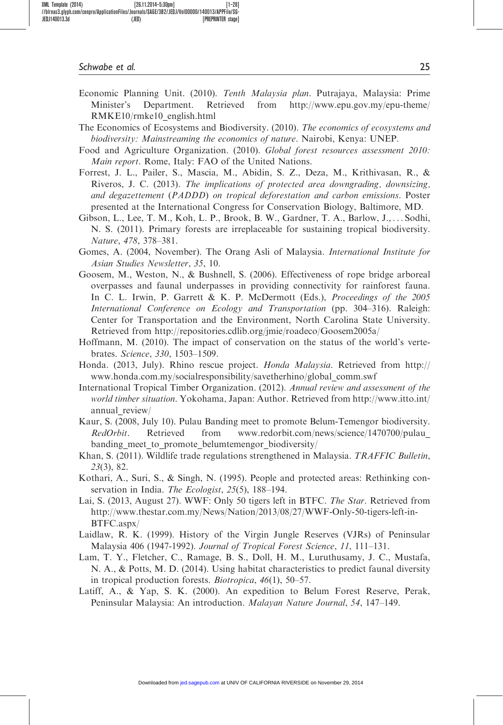- Economic Planning Unit. (2010). Tenth Malaysia plan. Putrajaya, Malaysia: Prime Minister's Department. Retrieved from [http://www.epu.gov.my/epu-theme/](http://www.epu.gov.my/epu-theme/RMKE10/rmke10_english.html) [RMKE10/rmke10\\_english.html](http://www.epu.gov.my/epu-theme/RMKE10/rmke10_english.html)
- The Economics of Ecosystems and Biodiversity. (2010). The economics of ecosystems and biodiversity: Mainstreaming the economics of nature. Nairobi, Kenya: UNEP.
- Food and Agriculture Organization. (2010). Global forest resources assessment 2010: Main report. Rome, Italy: FAO of the United Nations.
- Forrest, J. L., Pailer, S., Mascia, M., Abidin, S. Z., Deza, M., Krithivasan, R., & Riveros, J. C. (2013). The implications of protected area downgrading, downsizing, and degazettement (PADDD) on tropical deforestation and carbon emissions. Poster presented at the International Congress for Conservation Biology, Baltimore, MD.
- Gibson, L., Lee, T. M., Koh, L. P., Brook, B. W., Gardner, T. A., Barlow, J., ... Sodhi, N. S. (2011). Primary forests are irreplaceable for sustaining tropical biodiversity. Nature, 478, 378–381.
- Gomes, A. (2004, November). The Orang Asli of Malaysia. International Institute for Asian Studies Newsletter, 35, 10.
- Goosem, M., Weston, N., & Bushnell, S. (2006). Effectiveness of rope bridge arboreal overpasses and faunal underpasses in providing connectivity for rainforest fauna. In C. L. Irwin, P. Garrett & K. P. McDermott (Eds.), Proceedings of the 2005 International Conference on Ecology and Transportation (pp. 304–316). Raleigh: Center for Transportation and the Environment, North Carolina State University. Retrieved from<http://repositories.cdlib.org/jmie/roadeco/Goosem2005a/>
- Hoffmann, M. (2010). The impact of conservation on the status of the world's vertebrates. Science, 330, 1503–1509.
- Honda. (2013, July). Rhino rescue project. Honda Malaysia. Retrieved from [http://](http://www.honda.com.my/socialresponsibility/savetherhino/global_comm.swf) [www.honda.com.my/socialresponsibility/savetherhino/global\\_comm.swf](http://www.honda.com.my/socialresponsibility/savetherhino/global_comm.swf)
- International Tropical Timber Organization. (2012). Annual review and assessment of the world timber situation. Yokohama, Japan: Author. Retrieved from [http://www.itto.int/](http://www.itto.int/annual_review/) annual review/
- Kaur, S. (2008, July 10). Pulau Banding meet to promote Belum-Temengor biodiversity. RedOrbit. Retrieved from [www.redorbit.com/news/science/1470700/pulau\\_](www.redorbit.com/news/science/1470700/pulau_banding_meet_to_promote_belumtemengor_biodiversity/) [banding\\_meet\\_to\\_promote\\_belumtemengor\\_biodiversity/](www.redorbit.com/news/science/1470700/pulau_banding_meet_to_promote_belumtemengor_biodiversity/)
- Khan, S. (2011). Wildlife trade regulations strengthened in Malaysia. TRAFFIC Bulletin, 23(3), 82.
- Kothari, A., Suri, S., & Singh, N. (1995). People and protected areas: Rethinking conservation in India. The Ecologist, 25(5), 188–194.
- Lai, S. (2013, August 27). WWF: Only 50 tigers left in BTFC. The Star. Retrieved from [http://www.thestar.com.my/News/Nation/2013/08/27/WWF-Only-50-tigers-left-in-](http://www.thestar.com.my/News/Nation/2013/08/27/WWF-Only-50-tigers-left-in-BTFC.aspx/)[BTFC.aspx/](http://www.thestar.com.my/News/Nation/2013/08/27/WWF-Only-50-tigers-left-in-BTFC.aspx/)
- Laidlaw, R. K. (1999). History of the Virgin Jungle Reserves (VJRs) of Peninsular Malaysia 406 (1947-1992). Journal of Tropical Forest Science, 11, 111–131.
- Lam, T. Y., Fletcher, C., Ramage, B. S., Doll, H. M., Luruthusamy, J. C., Mustafa, N. A., & Potts, M. D. (2014). Using habitat characteristics to predict faunal diversity in tropical production forests. Biotropica, 46(1), 50–57.
- Latiff, A., & Yap, S. K. (2000). An expedition to Belum Forest Reserve, Perak, Peninsular Malaysia: An introduction. Malayan Nature Journal, 54, 147–149.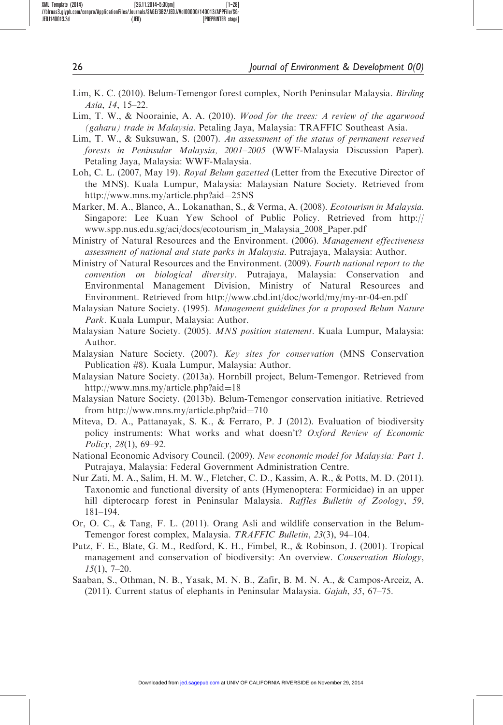- Lim, K. C. (2010). Belum-Temengor forest complex, North Peninsular Malaysia. Birding Asia, 14, 15–22.
- Lim, T. W., & Noorainie, A. A. (2010). Wood for the trees: A review of the agarwood (gaharu) trade in Malaysia. Petaling Jaya, Malaysia: TRAFFIC Southeast Asia.
- Lim, T. W., & Suksuwan, S. (2007). An assessment of the status of permanent reserved forests in Peninsular Malaysia, 2001–2005 (WWF-Malaysia Discussion Paper). Petaling Jaya, Malaysia: WWF-Malaysia.
- Loh, C. L. (2007, May 19). Royal Belum gazetted (Letter from the Executive Director of the MNS). Kuala Lumpur, Malaysia: Malaysian Nature Society. Retrieved from [http://www.mns.my/article.php?aid](http://www.mns.my/article.php?aid=25NS)=[25NS](http://www.mns.my/article.php?aid=25NS)
- Marker, M. A., Blanco, A., Lokanathan, S., & Verma, A. (2008). Ecotourism in Malaysia. Singapore: Lee Kuan Yew School of Public Policy. Retrieved from [http://](http://www.spp.nus.edu.sg/aci/docs/ecotourism_in_Malaysia_2008_Paper.pdf) [www.spp.nus.edu.sg/aci/docs/ecotourism\\_in\\_Malaysia\\_2008\\_Paper.pdf](http://www.spp.nus.edu.sg/aci/docs/ecotourism_in_Malaysia_2008_Paper.pdf)
- Ministry of Natural Resources and the Environment. (2006). Management effectiveness assessment of national and state parks in Malaysia. Putrajaya, Malaysia: Author.
- Ministry of Natural Resources and the Environment. (2009). Fourth national report to the convention on biological diversity. Putrajaya, Malaysia: Conservation and Environmental Management Division, Ministry of Natural Resources and Environment. Retrieved from<http://www.cbd.int/doc/world/my/my-nr-04-en.pdf>
- Malaysian Nature Society. (1995). Management guidelines for a proposed Belum Nature Park. Kuala Lumpur, Malaysia: Author.
- Malaysian Nature Society. (2005). MNS position statement. Kuala Lumpur, Malaysia: Author.
- Malaysian Nature Society. (2007). Key sites for conservation (MNS Conservation Publication #8). Kuala Lumpur, Malaysia: Author.
- Malaysian Nature Society. (2013a). Hornbill project, Belum-Temengor. Retrieved from [http://www.mns.my/article.php?aid](http://www.mns.my/article.php?aid=18)=[18](http://www.mns.my/article.php?aid=18)
- Malaysian Nature Society. (2013b). Belum-Temengor conservation initiative. Retrieved from [http://www.mns.my/article.php?aid](http://www.mns.my/article.php?aid=710)=[710](http://www.mns.my/article.php?aid=710)
- Miteva, D. A., Pattanayak, S. K., & Ferraro, P. J (2012). Evaluation of biodiversity policy instruments: What works and what doesn't? Oxford Review of Economic Policy, 28(1), 69–92.
- National Economic Advisory Council. (2009). New economic model for Malaysia: Part 1. Putrajaya, Malaysia: Federal Government Administration Centre.
- Nur Zati, M. A., Salim, H. M. W., Fletcher, C. D., Kassim, A. R., & Potts, M. D. (2011). Taxonomic and functional diversity of ants (Hymenoptera: Formicidae) in an upper hill dipterocarp forest in Peninsular Malaysia. Raffles Bulletin of Zoology, 59, 181–194.
- Or, O. C., & Tang, F. L. (2011). Orang Asli and wildlife conservation in the Belum-Temengor forest complex, Malaysia. TRAFFIC Bulletin, 23(3), 94–104.
- Putz, F. E., Blate, G. M., Redford, K. H., Fimbel, R., & Robinson, J. (2001). Tropical management and conservation of biodiversity: An overview. Conservation Biology,  $15(1)$ , 7-20.
- Saaban, S., Othman, N. B., Yasak, M. N. B., Zafir, B. M. N. A., & Campos-Arceiz, A. (2011). Current status of elephants in Peninsular Malaysia. Gajah, 35, 67–75.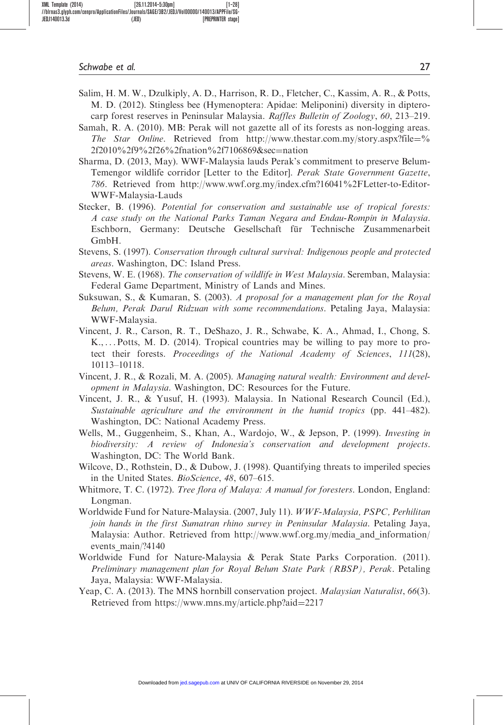- Salim, H. M. W., Dzulkiply, A. D., Harrison, R. D., Fletcher, C., Kassim, A. R., & Potts, M. D. (2012). Stingless bee (Hymenoptera: Apidae: Meliponini) diversity in dipterocarp forest reserves in Peninsular Malaysia. Raffles Bulletin of Zoology, 60, 213–219.
- Samah, R. A. (2010). MB: Perak will not gazette all of its forests as non-logging areas. The Star Online. Retrieved from [http://www.thestar.com.my/story.aspx?file](http://www.thestar.com.my/story.aspx?file=%2f2010%2f9%2f26%2fnation%2f7106869&sec=nation)=[%](http://www.thestar.com.my/story.aspx?file=%2f2010%2f9%2f26%2fnation%2f7106869&sec=nation) [2f2010%2f9%2f26%2fnation%2f7106869&sec](http://www.thestar.com.my/story.aspx?file=%2f2010%2f9%2f26%2fnation%2f7106869&sec=nation)=[nation](http://www.thestar.com.my/story.aspx?file=%2f2010%2f9%2f26%2fnation%2f7106869&sec=nation)
- Sharma, D. (2013, May). WWF-Malaysia lauds Perak's commitment to preserve Belum-Temengor wildlife corridor [Letter to the Editor]. Perak State Government Gazette, 786. Retrieved from [http://www.wwf.org.my/index.cfm?16041%2FLetter-to-Editor-](http://www.wwf.org.my/index.cfm?16041%2FLetter-to-Editor-WWF-Malaysia-Lauds)[WWF-Malaysia-Lauds](http://www.wwf.org.my/index.cfm?16041%2FLetter-to-Editor-WWF-Malaysia-Lauds)
- Stecker, B. (1996). Potential for conservation and sustainable use of tropical forests: A case study on the National Parks Taman Negara and Endau-Rompin in Malaysia. Eschborn, Germany: Deutsche Gesellschaft für Technische Zusammenarbeit GmbH.
- Stevens, S. (1997). Conservation through cultural survival: Indigenous people and protected areas. Washington, DC: Island Press.
- Stevens, W. E. (1968). The conservation of wildlife in West Malaysia. Seremban, Malaysia: Federal Game Department, Ministry of Lands and Mines.
- Suksuwan, S., & Kumaran, S. (2003). A proposal for a management plan for the Royal Belum, Perak Darul Ridzuan with some recommendations. Petaling Jaya, Malaysia: WWF-Malaysia.
- Vincent, J. R., Carson, R. T., DeShazo, J. R., Schwabe, K. A., Ahmad, I., Chong, S. K., ... Potts, M. D. (2014). Tropical countries may be willing to pay more to protect their forests. Proceedings of the National Academy of Sciences, 111(28), 10113–10118.
- Vincent, J. R., & Rozali, M. A. (2005). Managing natural wealth: Environment and development in Malaysia. Washington, DC: Resources for the Future.
- Vincent, J. R., & Yusuf, H. (1993). Malaysia. In National Research Council (Ed.), Sustainable agriculture and the environment in the humid tropics (pp. 441–482). Washington, DC: National Academy Press.
- Wells, M., Guggenheim, S., Khan, A., Wardojo, W., & Jepson, P. (1999). Investing in biodiversity: A review of Indonesia's conservation and development projects. Washington, DC: The World Bank.
- Wilcove, D., Rothstein, D., & Dubow, J. (1998). Quantifying threats to imperiled species in the United States. BioScience, 48, 607–615.
- Whitmore, T. C. (1972). Tree flora of Malaya: A manual for foresters. London, England: Longman.
- Worldwide Fund for Nature-Malaysia. (2007, July 11). WWF-Malaysia, PSPC, Perhilitan join hands in the first Sumatran rhino survey in Peninsular Malaysia. Petaling Jaya, Malaysia: Author. Retrieved from [http://www.wwf.org.my/media\\_and\\_information/](http://www.wwf.org.my/media_and_information/events_main/?4140) [events\\_main/?4140](http://www.wwf.org.my/media_and_information/events_main/?4140)
- Worldwide Fund for Nature-Malaysia & Perak State Parks Corporation. (2011). Preliminary management plan for Royal Belum State Park (RBSP), Perak. Petaling Jaya, Malaysia: WWF-Malaysia.
- Yeap, C. A. (2013). The MNS hornbill conservation project. *Malaysian Naturalist*, 66(3). Retrieved from [https://www.mns.my/article.php?aid](https://www.mns.my/article.php?aid=2217)=[2217](https://www.mns.my/article.php?aid=2217)